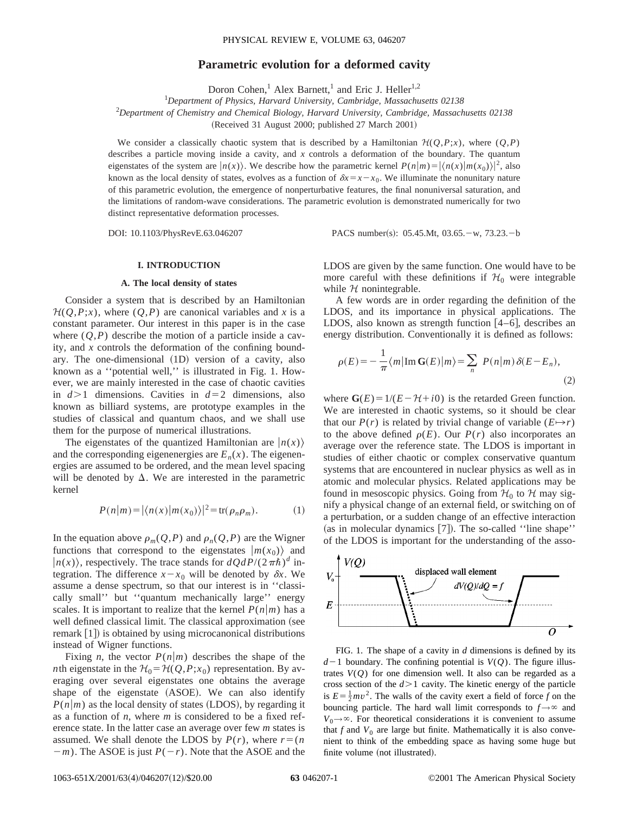# **Parametric evolution for a deformed cavity**

Doron Cohen,<sup>1</sup> Alex Barnett,<sup>1</sup> and Eric J. Heller<sup>1,2</sup>

1 *Department of Physics, Harvard University, Cambridge, Massachusetts 02138*

2 *Department of Chemistry and Chemical Biology, Harvard University, Cambridge, Massachusetts 02138*

(Received 31 August 2000; published 27 March 2001)

We consider a classically chaotic system that is described by a Hamiltonian  $\mathcal{H}(Q,P;x)$ , where  $(Q,P)$ describes a particle moving inside a cavity, and *x* controls a deformation of the boundary. The quantum eigenstates of the system are  $|n(x)\rangle$ . We describe how the parametric kernel  $P(n|m) = |\langle n(x)|m(x_0)\rangle|^2$ , also known as the local density of states, evolves as a function of  $\delta x = x - x_0$ . We illuminate the nonunitary nature of this parametric evolution, the emergence of nonperturbative features, the final nonuniversal saturation, and the limitations of random-wave considerations. The parametric evolution is demonstrated numerically for two distinct representative deformation processes.

DOI: 10.1103/PhysRevE.63.046207 PACS number(s): 05.45.Mt, 03.65. - w, 73.23. - b

### **I. INTRODUCTION**

### **A. The local density of states**

Consider a system that is described by an Hamiltonian  $H(Q, P; x)$ , where  $(Q, P)$  are canonical variables and *x* is a constant parameter. Our interest in this paper is in the case where  $(Q, P)$  describe the motion of a particle inside a cavity, and *x* controls the deformation of the confining boundary. The one-dimensional (1D) version of a cavity, also known as a ''potential well,'' is illustrated in Fig. 1. However, we are mainly interested in the case of chaotic cavities in  $d>1$  dimensions. Cavities in  $d=2$  dimensions, also known as billiard systems, are prototype examples in the studies of classical and quantum chaos, and we shall use them for the purpose of numerical illustrations.

The eigenstates of the quantized Hamiltonian are  $|n(x)\rangle$ and the corresponding eigenenergies are  $E_n(x)$ . The eigenenergies are assumed to be ordered, and the mean level spacing will be denoted by  $\Delta$ . We are interested in the parametric kernel

$$
P(n|m) = |\langle n(x)|m(x_0)\rangle|^2 = \text{tr}(\rho_n \rho_m). \tag{1}
$$

In the equation above  $\rho_m(Q, P)$  and  $\rho_n(Q, P)$  are the Wigner functions that correspond to the eigenstates  $|m(x_0)\rangle$  and  $|n(x)\rangle$ , respectively. The trace stands for  $dQdP/(2\pi\hbar)^d$  integration. The difference  $x - x_0$  will be denoted by  $\delta x$ . We assume a dense spectrum, so that our interest is in ''classically small'' but ''quantum mechanically large'' energy scales. It is important to realize that the kernel  $P(n|m)$  has a well defined classical limit. The classical approximation (see remark  $[1]$ ) is obtained by using microcanonical distributions instead of Wigner functions.

Fixing *n*, the vector  $P(n|m)$  describes the shape of the *n*th eigenstate in the  $\mathcal{H}_0 = \mathcal{H}(Q, P; x_0)$  representation. By averaging over several eigenstates one obtains the average shape of the eigenstate (ASOE). We can also identify  $P(n|m)$  as the local density of states (LDOS), by regarding it as a function of *n*, where *m* is considered to be a fixed reference state. In the latter case an average over few *m* states is assumed. We shall denote the LDOS by  $P(r)$ , where  $r = (n \cdot 1)$  $-m$ ). The ASOE is just  $P(-r)$ . Note that the ASOE and the

LDOS are given by the same function. One would have to be more careful with these definitions if  $\mathcal{H}_0$  were integrable while  $H$  nonintegrable.

A few words are in order regarding the definition of the LDOS, and its importance in physical applications. The LDOS, also known as strength function  $[4-6]$ , describes an energy distribution. Conventionally it is defined as follows:

$$
\rho(E) = -\frac{1}{\pi} \langle m | \operatorname{Im} \mathbf{G}(E) | m \rangle = \sum_{n} P(n | m) \delta(E - E_n), \tag{2}
$$

where  $G(E) = 1/(E - H + i0)$  is the retarded Green function. We are interested in chaotic systems, so it should be clear that our  $P(r)$  is related by trivial change of variable  $(E \rightarrow r)$ to the above defined  $\rho(E)$ . Our  $P(r)$  also incorporates an average over the reference state. The LDOS is important in studies of either chaotic or complex conservative quantum systems that are encountered in nuclear physics as well as in atomic and molecular physics. Related applications may be found in mesoscopic physics. Going from  $H_0$  to H may signify a physical change of an external field, or switching on of a perturbation, or a sudden change of an effective interaction (as in molecular dynamics  $[7]$ ). The so-called "line shape" of the LDOS is important for the understanding of the asso-



FIG. 1. The shape of a cavity in *d* dimensions is defined by its  $d-1$  boundary. The confining potential is  $V(Q)$ . The figure illustrates  $V(Q)$  for one dimension well. It also can be regarded as a cross section of the  $d > 1$  cavity. The kinetic energy of the particle is  $E = \frac{1}{2}mv^2$ . The walls of the cavity exert a field of force *f* on the bouncing particle. The hard wall limit corresponds to  $f \rightarrow \infty$  and  $V_0 \rightarrow \infty$ . For theoretical considerations it is convenient to assume that  $f$  and  $V_0$  are large but finite. Mathematically it is also convenient to think of the embedding space as having some huge but finite volume (not illustrated).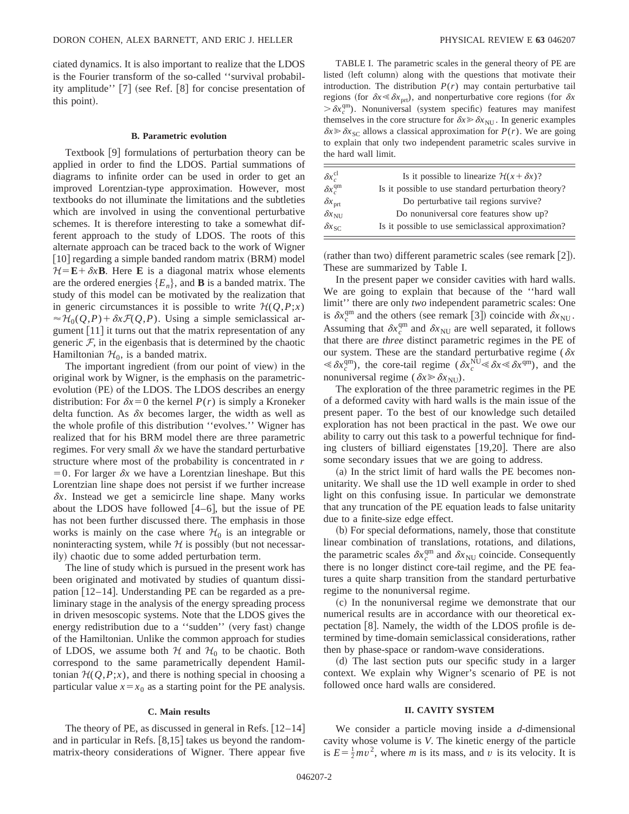ciated dynamics. It is also important to realize that the LDOS is the Fourier transform of the so-called ''survival probability amplitude''  $[7]$  (see Ref.  $[8]$  for concise presentation of this point).

# **B. Parametric evolution**

Textbook  $[9]$  formulations of perturbation theory can be applied in order to find the LDOS. Partial summations of diagrams to infinite order can be used in order to get an improved Lorentzian-type approximation. However, most textbooks do not illuminate the limitations and the subtleties which are involved in using the conventional perturbative schemes. It is therefore interesting to take a somewhat different approach to the study of LDOS. The roots of this alternate approach can be traced back to the work of Wigner  $[10]$  regarding a simple banded random matrix  $(BRM)$  model  $H = \mathbf{E} + \delta x \mathbf{B}$ . Here **E** is a diagonal matrix whose elements are the ordered energies  ${E_n}$ , and **B** is a banded matrix. The study of this model can be motivated by the realization that in generic circumstances it is possible to write  $H(Q, P; x)$  $\approx \mathcal{H}_0(Q, P) + \delta x \mathcal{F}(Q, P)$ . Using a simple semiclassical argument  $[11]$  it turns out that the matrix representation of any generic  $F$ , in the eigenbasis that is determined by the chaotic Hamiltonian  $\mathcal{H}_0$ , is a banded matrix.

The important ingredient (from our point of view) in the original work by Wigner, is the emphasis on the parametricevolution (PE) of the LDOS. The LDOS describes an energy distribution: For  $\delta x=0$  the kernel  $P(r)$  is simply a Kroneker delta function. As  $\delta x$  becomes larger, the width as well as the whole profile of this distribution ''evolves.'' Wigner has realized that for his BRM model there are three parametric regimes. For very small  $\delta x$  we have the standard perturbative structure where most of the probability is concentrated in *r*  $=0$ . For larger  $\delta x$  we have a Lorentzian lineshape. But this Lorentzian line shape does not persist if we further increase  $\delta x$ . Instead we get a semicircle line shape. Many works about the LDOS have followed  $[4-6]$ , but the issue of PE has not been further discussed there. The emphasis in those works is mainly on the case where  $\mathcal{H}_0$  is an integrable or noninteracting system, while  $H$  is possibly (but not necessarily) chaotic due to some added perturbation term.

The line of study which is pursued in the present work has been originated and motivated by studies of quantum dissipation  $[12-14]$ . Understanding PE can be regarded as a preliminary stage in the analysis of the energy spreading process in driven mesoscopic systems. Note that the LDOS gives the energy redistribution due to a "sudden" (very fast) change of the Hamiltonian. Unlike the common approach for studies of LDOS, we assume both  $H$  and  $H_0$  to be chaotic. Both correspond to the same parametrically dependent Hamiltonian  $H(Q, P; x)$ , and there is nothing special in choosing a particular value  $x=x_0$  as a starting point for the PE analysis.

### **C. Main results**

The theory of PE, as discussed in general in Refs.  $[12-14]$ and in particular in Refs.  $[8,15]$  takes us beyond the randommatrix-theory considerations of Wigner. There appear five

TABLE I. The parametric scales in the general theory of PE are listed (left column) along with the questions that motivate their introduction. The distribution  $P(r)$  may contain perturbative tail regions (for  $\delta x \le \delta x$ <sub>prt</sub>), and nonperturbative core regions (for  $\delta x$  $>\delta x_c^{\text{qm}}$ ). Nonuniversal (system specific) features may manifest themselves in the core structure for  $\delta x \gg \delta x_{\text{NU}}$ . In generic examples  $\delta x \gg \delta x_{SC}$  allows a classical approximation for *P(r)*. We are going to explain that only two independent parametric scales survive in the hard wall limit.

| $\delta x_c^{\rm cl}$     | Is it possible to linearize $\mathcal{H}(x + \delta x)$ ? |
|---------------------------|-----------------------------------------------------------|
| $\delta x_c^{\rm qm}$     | Is it possible to use standard perturbation theory?       |
| $\delta x$ <sub>prt</sub> | Do perturbative tail regions survive?                     |
| $\delta x_{\text{NU}}$    | Do nonuniversal core features show up?                    |
| $\delta x_{\rm SC}$       | Is it possible to use semiclassical approximation?        |

(rather than two) different parametric scales (see remark  $[2]$ ). These are summarized by Table I.

In the present paper we consider cavities with hard walls. We are going to explain that because of the ''hard wall limit'' there are only *two* independent parametric scales: One is  $\delta x_c^{\text{qm}}$  and the others (see remark [3]) coincide with  $\delta x_{\text{NU}}$ . Assuming that  $\delta x_c^{\text{qm}}$  and  $\delta x_{\text{NU}}$  are well separated, it follows that there are *three* distinct parametric regimes in the PE of our system. These are the standard perturbative regime ( $\delta x$  $\ll \delta x_c^{\text{qm}}$ ), the core-tail regime ( $\delta x_c^{\text{NU}} \ll \delta x \ll \delta x^{\text{qm}}$ ), and the nonuniversal regime ( $\delta x \geq \delta x_{\text{NU}}$ ).

The exploration of the three parametric regimes in the PE of a deformed cavity with hard walls is the main issue of the present paper. To the best of our knowledge such detailed exploration has not been practical in the past. We owe our ability to carry out this task to a powerful technique for finding clusters of billiard eigenstates  $[19,20]$ . There are also some secondary issues that we are going to address.

(a) In the strict limit of hard walls the PE becomes nonunitarity. We shall use the 1D well example in order to shed light on this confusing issue. In particular we demonstrate that any truncation of the PE equation leads to false unitarity due to a finite-size edge effect.

~b! For special deformations, namely, those that constitute linear combination of translations, rotations, and dilations, the parametric scales  $\delta x_c^{\text{qm}}$  and  $\delta x_{\text{NU}}$  coincide. Consequently there is no longer distinct core-tail regime, and the PE features a quite sharp transition from the standard perturbative regime to the nonuniversal regime.

~c! In the nonuniversal regime we demonstrate that our numerical results are in accordance with our theoretical expectation  $[8]$ . Namely, the width of the LDOS profile is determined by time-domain semiclassical considerations, rather then by phase-space or random-wave considerations.

(d) The last section puts our specific study in a larger context. We explain why Wigner's scenario of PE is not followed once hard walls are considered.

### **II. CAVITY SYSTEM**

We consider a particle moving inside a *d*-dimensional cavity whose volume is *V*. The kinetic energy of the particle is  $E = \frac{1}{2}mv^2$ , where *m* is its mass, and *v* is its velocity. It is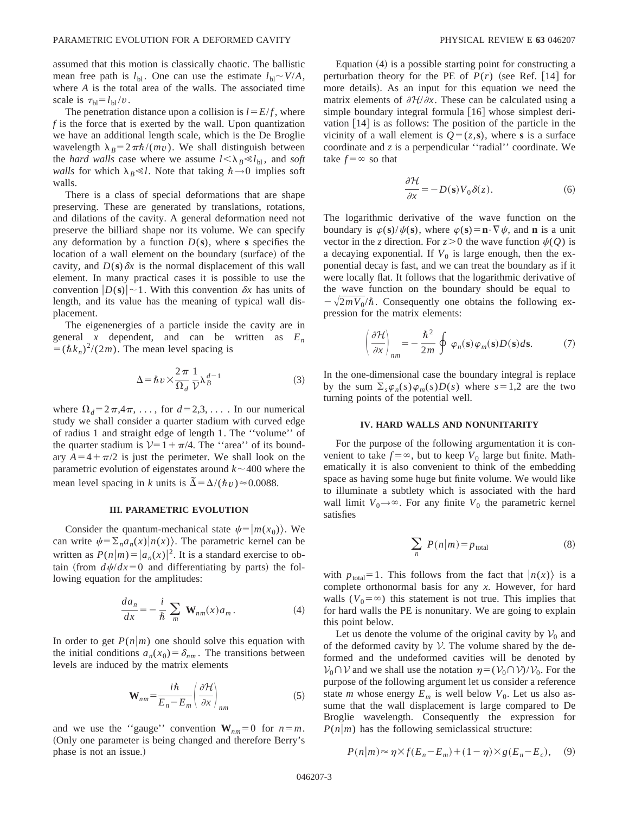assumed that this motion is classically chaotic. The ballistic mean free path is  $l_{bl}$ . One can use the estimate  $l_{bl} \sim V/A$ , where *A* is the total area of the walls. The associated time scale is  $\tau_{\text{bl}} = l_{\text{bl}} / v$ .

The penetration distance upon a collision is  $l = E/f$ , where *f* is the force that is exerted by the wall. Upon quantization we have an additional length scale, which is the De Broglie wavelength  $\lambda_B = 2\pi\hbar/(mv)$ . We shall distinguish between the *hard walls* case where we assume  $l < \lambda_B \ll l_{\text{bl}}$ , and *soft walls* for which  $\lambda_B \ll l$ . Note that taking  $\hbar \rightarrow 0$  implies soft walls.

There is a class of special deformations that are shape preserving. These are generated by translations, rotations, and dilations of the cavity. A general deformation need not preserve the billiard shape nor its volume. We can specify any deformation by a function  $D(s)$ , where **s** specifies the location of a wall element on the boundary (surface) of the cavity, and  $D(s)$   $\delta x$  is the normal displacement of this wall element. In many practical cases it is possible to use the convention  $|D(s)| \sim 1$ . With this convention  $\delta x$  has units of length, and its value has the meaning of typical wall displacement.

The eigenenergies of a particle inside the cavity are in general *x* dependent, and can be written as  $E_n$  $=(\hbar k_n)^2/(2m)$ . The mean level spacing is

$$
\Delta = \hbar v \times \frac{2\pi}{\Omega_d} \frac{1}{\mathcal{V}} \lambda_B^{d-1}
$$
 (3)

where  $\Omega_d = 2\pi, 4\pi, \ldots$ , for  $d = 2, 3, \ldots$ . In our numerical study we shall consider a quarter stadium with curved edge of radius 1 and straight edge of length 1. The ''volume'' of the quarter stadium is  $V=1+\pi/4$ . The "area" of its boundary  $A=4+\pi/2$  is just the perimeter. We shall look on the parametric evolution of eigenstates around  $k \sim 400$  where the mean level spacing in *k* units is  $\tilde{\Delta} = \Delta/(\hbar v) \approx 0.0088$ .

### **III. PARAMETRIC EVOLUTION**

Consider the quantum-mechanical state  $\psi=|m(x_0)\rangle$ . We can write  $\psi = \sum_{n} a_n(x) |n(x)\rangle$ . The parametric kernel can be written as  $P(n|m) = |a_n(x)|^2$ . It is a standard exercise to obtain (from  $d\psi/dx=0$  and differentiating by parts) the following equation for the amplitudes:

$$
\frac{da_n}{dx} = -\frac{i}{\hbar} \sum_m \mathbf{W}_{nm}(x) a_m.
$$
 (4)

In order to get  $P(n|m)$  one should solve this equation with the initial conditions  $a_n(x_0) = \delta_{nm}$ . The transitions between levels are induced by the matrix elements

$$
\mathbf{W}_{nm} = \frac{i\hbar}{E_n - E_m} \left( \frac{\partial \mathcal{H}}{\partial x} \right)_{nm}
$$
 (5)

and we use the "gauge" convention  $W_{nm} = 0$  for  $n = m$ . (Only one parameter is being changed and therefore Berry's phase is not an issue.)

Equation  $(4)$  is a possible starting point for constructing a perturbation theory for the PE of  $P(r)$  (see Ref. [14] for more details). As an input for this equation we need the matrix elements of  $\partial H/\partial x$ . These can be calculated using a simple boundary integral formula  $[16]$  whose simplest derivation  $[14]$  is as follows: The position of the particle in the vicinity of a wall element is  $Q = (z, \mathbf{s})$ , where **s** is a surface coordinate and *z* is a perpendicular ''radial'' coordinate. We take  $f = \infty$  so that

$$
\frac{\partial \mathcal{H}}{\partial x} = -D(\mathbf{s}) V_0 \delta(z). \tag{6}
$$

The logarithmic derivative of the wave function on the boundary is  $\varphi(s)/\psi(s)$ , where  $\varphi(s) = \mathbf{n} \cdot \nabla \psi$ , and **n** is a unit vector in the *z* direction. For  $z > 0$  the wave function  $\psi(Q)$  is a decaying exponential. If  $V_0$  is large enough, then the exponential decay is fast, and we can treat the boundary as if it were locally flat. It follows that the logarithmic derivative of the wave function on the boundary should be equal to  $-\sqrt{2mV_0/\hbar}$ . Consequently one obtains the following expression for the matrix elements:

$$
\left(\frac{\partial \mathcal{H}}{\partial x}\right)_{nm} = -\frac{\hbar^2}{2m} \oint \varphi_n(\mathbf{s}) \varphi_m(\mathbf{s}) D(\mathbf{s}) d\mathbf{s}.
$$
 (7)

In the one-dimensional case the boundary integral is replace by the sum  $\Sigma_s \varphi_n(s) \varphi_m(s) D(s)$  where  $s = 1,2$  are the two turning points of the potential well.

# **IV. HARD WALLS AND NONUNITARITY**

For the purpose of the following argumentation it is convenient to take  $f = \infty$ , but to keep  $V_0$  large but finite. Mathematically it is also convenient to think of the embedding space as having some huge but finite volume. We would like to illuminate a subtlety which is associated with the hard wall limit  $V_0 \rightarrow \infty$ . For any finite  $V_0$  the parametric kernel satisfies

$$
\sum_{n} P(n|m) = p_{\text{total}} \tag{8}
$$

with  $p_{\text{total}}=1$ . This follows from the fact that  $|n(x)\rangle$  is a complete orthonormal basis for any *x*. However, for hard walls  $(V_0 = \infty)$  this statement is not true. This implies that for hard walls the PE is nonunitary. We are going to explain this point below.

Let us denote the volume of the original cavity by  $V_0$  and of the deformed cavity by  $V$ . The volume shared by the deformed and the undeformed cavities will be denoted by  $V_0 \cap V$  and we shall use the notation  $\eta = (V_0 \cap V)/V_0$ . For the purpose of the following argument let us consider a reference state *m* whose energy  $E_m$  is well below  $V_0$ . Let us also assume that the wall displacement is large compared to De Broglie wavelength. Consequently the expression for  $P(n|m)$  has the following semiclassical structure:

$$
P(n|m) \approx \eta \times f(E_n - E_m) + (1 - \eta) \times g(E_n - E_c), \quad (9)
$$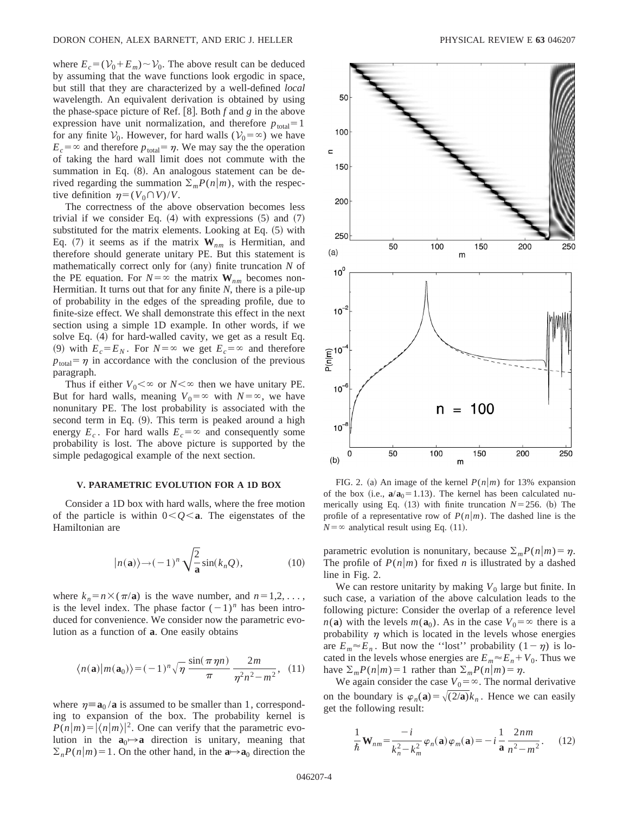where  $E_c = (\mathcal{V}_0 + E_m) \sim \mathcal{V}_0$ . The above result can be deduced by assuming that the wave functions look ergodic in space, but still that they are characterized by a well-defined *local* wavelength. An equivalent derivation is obtained by using the phase-space picture of Ref.  $[8]$ . Both  $f$  and  $g$  in the above expression have unit normalization, and therefore  $p_{total} = 1$ for any finite  $V_0$ . However, for hard walls  $(V_0 = \infty)$  we have  $E_c$ = $\infty$  and therefore  $p_{total} = \eta$ . We may say the the operation of taking the hard wall limit does not commute with the summation in Eq.  $(8)$ . An analogous statement can be derived regarding the summation  $\sum_{m} P(n|m)$ , with the respective definition  $\eta = (V_0 \cap V)/V$ .

The correctness of the above observation becomes less trivial if we consider Eq.  $(4)$  with expressions  $(5)$  and  $(7)$ substituted for the matrix elements. Looking at Eq.  $(5)$  with Eq. (7) it seems as if the matrix  $W_{nm}$  is Hermitian, and therefore should generate unitary PE. But this statement is mathematically correct only for (any) finite truncation *N* of the PE equation. For  $N = \infty$  the matrix  $W_{nm}$  becomes non-Hermitian. It turns out that for any finite *N*, there is a pile-up of probability in the edges of the spreading profile, due to finite-size effect. We shall demonstrate this effect in the next section using a simple 1D example. In other words, if we solve Eq.  $(4)$  for hard-walled cavity, we get as a result Eq. (9) with  $E_c = E_N$ . For  $N = \infty$  we get  $E_c = \infty$  and therefore  $p_{\text{total}} = \eta$  in accordance with the conclusion of the previous paragraph.

Thus if either  $V_0 < \infty$  or  $N < \infty$  then we have unitary PE. But for hard walls, meaning  $V_0 = \infty$  with  $N = \infty$ , we have nonunitary PE. The lost probability is associated with the second term in Eq.  $(9)$ . This term is peaked around a high energy  $E_c$ . For hard walls  $E_c = \infty$  and consequently some probability is lost. The above picture is supported by the simple pedagogical example of the next section.

#### **V. PARAMETRIC EVOLUTION FOR A 1D BOX**

Consider a 1D box with hard walls, where the free motion of the particle is within  $0 < O < a$ . The eigenstates of the Hamiltonian are

$$
|n(\mathbf{a})\rangle \rightarrow (-1)^n \sqrt{\frac{2}{\mathbf{a}}}\sin(k_n Q), \qquad (10)
$$

where  $k_n = n \times (\pi/\mathbf{a})$  is the wave number, and  $n=1,2,\ldots$ , is the level index. The phase factor  $(-1)^n$  has been introduced for convenience. We consider now the parametric evolution as a function of **a**. One easily obtains

$$
\langle n(\mathbf{a})|m(\mathbf{a}_0)\rangle = (-1)^n \sqrt{\eta} \frac{\sin(\pi \eta n)}{\pi} \frac{2m}{\eta^2 n^2 - m^2}, \quad (11)
$$

where  $\eta \equiv a_0 / a$  is assumed to be smaller than 1, corresponding to expansion of the box. The probability kernel is  $P(n|m) = |\langle n|m \rangle|^2$ . One can verify that the parametric evolution in the  $\mathbf{a}_0 \mapsto \mathbf{a}$  direction is unitary, meaning that  $\sum_{n} P(n|m) = 1$ . On the other hand, in the  $a \rightarrow a_0$  direction the



FIG. 2. (a) An image of the kernel  $P(n|m)$  for 13% expansion of the box (i.e.,  $a/a_0 = 1.13$ ). The kernel has been calculated numerically using Eq.  $(13)$  with finite truncation  $N=256$ . (b) The profile of a representative row of  $P(n|m)$ . The dashed line is the  $N = \infty$  analytical result using Eq. (11).

parametric evolution is nonunitary, because  $\sum_{m} P(n|m) = \eta$ . The profile of  $P(n|m)$  for fixed *n* is illustrated by a dashed line in Fig. 2.

We can restore unitarity by making  $V_0$  large but finite. In such case, a variation of the above calculation leads to the following picture: Consider the overlap of a reference level  $n(\mathbf{a})$  with the levels  $m(\mathbf{a}_0)$ . As in the case  $V_0 = \infty$  there is a probability  $\eta$  which is located in the levels whose energies are  $E_m \approx E_n$ . But now the "lost" probability  $(1-\eta)$  is located in the levels whose energies are  $E_m \approx E_n + V_0$ . Thus we have  $\sum_{m} P(n|m) = 1$  rather than  $\sum_{m} P(n|m) = \eta$ .

We again consider the case  $V_0 = \infty$ . The normal derivative on the boundary is  $\varphi_n(\mathbf{a}) = \sqrt{(2/\mathbf{a})}k_n$ . Hence we can easily get the following result:

$$
\frac{1}{\hbar} \mathbf{W}_{nm} = \frac{-i}{k_n^2 - k_m^2} \varphi_n(\mathbf{a}) \varphi_m(\mathbf{a}) = -i \frac{1}{\mathbf{a}} \frac{2nm}{n^2 - m^2}.
$$
 (12)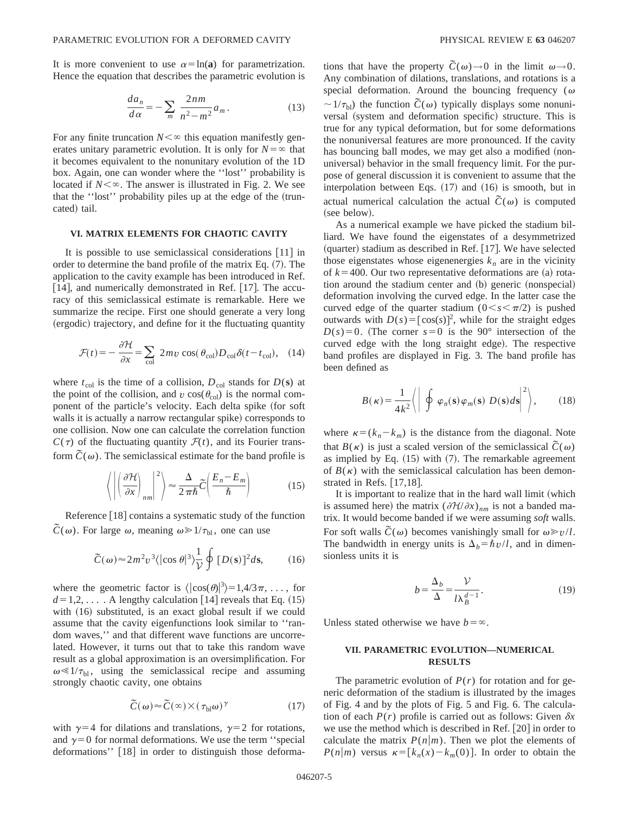It is more convenient to use  $\alpha = \ln(a)$  for parametrization. Hence the equation that describes the parametric evolution is

$$
\frac{da_n}{d\alpha} = -\sum_m \frac{2nm}{n^2 - m^2} a_m.
$$
 (13)

For any finite truncation  $N<\infty$  this equation manifestly generates unitary parametric evolution. It is only for  $N = \infty$  that it becomes equivalent to the nonunitary evolution of the 1D box. Again, one can wonder where the ''lost'' probability is located if  $N<\infty$ . The answer is illustrated in Fig. 2. We see that the "lost" probability piles up at the edge of the (truncated) tail.

### **VI. MATRIX ELEMENTS FOR CHAOTIC CAVITY**

It is possible to use semiclassical considerations  $[11]$  in order to determine the band profile of the matrix Eq.  $(7)$ . The application to the cavity example has been introduced in Ref. [14], and numerically demonstrated in Ref. [17]. The accuracy of this semiclassical estimate is remarkable. Here we summarize the recipe. First one should generate a very long (ergodic) trajectory, and define for it the fluctuating quantity

$$
\mathcal{F}(t) = -\frac{\partial \mathcal{H}}{\partial x} = \sum_{\text{col}} 2mv \cos(\theta_{\text{col}})D_{\text{col}}\delta(t - t_{\text{col}}), \quad (14)
$$

where  $t_{\text{col}}$  is the time of a collision,  $D_{\text{col}}$  stands for  $D(\mathbf{s})$  at the point of the collision, and  $v \cos(\theta_{\text{col}})$  is the normal component of the particle's velocity. Each delta spike (for soft walls it is actually a narrow rectangular spike) corresponds to one collision. Now one can calculate the correlation function  $C(\tau)$  of the fluctuating quantity  $\mathcal{F}(t)$ , and its Fourier transform  $\tilde{C}(\omega)$ . The semiclassical estimate for the band profile is

$$
\left\langle \left| \left( \frac{\partial \mathcal{H}}{\partial x} \right)_{nm} \right|^2 \right\rangle \approx \frac{\Delta}{2\pi\hbar} \widetilde{C} \left( \frac{E_n - E_m}{\hbar} \right) \tag{15}
$$

Reference  $[18]$  contains a systematic study of the function  $\tilde{C}(\omega)$ . For large  $\omega$ , meaning  $\omega \ge 1/\tau_{\text{bl}}$ , one can use

$$
\widetilde{C}(\omega) \approx 2m^2v^3 \langle |\cos \theta|^3 \rangle \frac{1}{\mathcal{V}} \oint [D(\mathbf{s})]^2 d\mathbf{s}, \qquad (16)
$$

where the geometric factor is  $\langle |\cos(\theta)|^3 \rangle = 1,4/3\pi, \ldots$ , for  $d=1,2,...$  A lengthy calculation [14] reveals that Eq. (15) with  $(16)$  substituted, is an exact global result if we could assume that the cavity eigenfunctions look similar to ''random waves,'' and that different wave functions are uncorrelated. However, it turns out that to take this random wave result as a global approximation is an oversimplification. For  $\omega \ll 1/\tau_{\rm bl}$ , using the semiclassical recipe and assuming strongly chaotic cavity, one obtains

$$
\tilde{C}(\omega) \approx \tilde{C}(\infty) \times (\tau_{\text{bl}}\omega)^{\gamma} \tag{17}
$$

with  $\gamma=4$  for dilations and translations,  $\gamma=2$  for rotations, and  $\gamma=0$  for normal deformations. We use the term "special deformations'' [18] in order to distinguish those deformations that have the property  $\tilde{C}(\omega) \rightarrow 0$  in the limit  $\omega \rightarrow 0$ . Any combination of dilations, translations, and rotations is a special deformation. Around the bouncing frequency ( $\omega$  $\sim 1/\tau_{\rm bl}$ ) the function  $\tilde{C}(\omega)$  typically displays some nonuniversal (system and deformation specific) structure. This is true for any typical deformation, but for some deformations the nonuniversal features are more pronounced. If the cavity has bouncing ball modes, we may get also a modified (nonuniversal) behavior in the small frequency limit. For the purpose of general discussion it is convenient to assume that the interpolation between Eqs.  $(17)$  and  $(16)$  is smooth, but in actual numerical calculation the actual  $\tilde{C}(\omega)$  is computed (see below).

As a numerical example we have picked the stadium billiard. We have found the eigenstates of a desymmetrized  $(quarter)$  stadium as described in Ref.  $[17]$ . We have selected those eigenstates whose eigenenergies  $k_n$  are in the vicinity of  $k=400$ . Our two representative deformations are (a) rotation around the stadium center and (b) generic (nonspecial) deformation involving the curved edge. In the latter case the curved edge of the quarter stadium  $(0 \lt s \lt \pi/2)$  is pushed outwards with  $D(s) = [\cos(s)]^2$ , while for the straight edges  $D(s)=0$ . (The corner  $s=0$  is the 90° intersection of the curved edge with the long straight edge). The respective band profiles are displayed in Fig. 3. The band profile has been defined as

$$
B(\kappa) = \frac{1}{4k^2} \left\langle \left| \oint \varphi_n(\mathbf{s}) \varphi_m(\mathbf{s}) \ D(\mathbf{s}) d\mathbf{s} \right|^2 \right\rangle, \tag{18}
$$

where  $\kappa = (k_n - k_m)$  is the distance from the diagonal. Note that  $B(\kappa)$  is just a scaled version of the semiclassical  $\tilde{C}(\omega)$ as implied by Eq.  $(15)$  with  $(7)$ . The remarkable agreement of  $B(\kappa)$  with the semiclassical calculation has been demonstrated in Refs.  $[17,18]$ .

It is important to realize that in the hard wall limit (which is assumed here) the matrix  $(\partial \mathcal{H}/\partial x)_{nm}$  is not a banded matrix. It would become banded if we were assuming *soft* walls. For soft walls  $\tilde{C}(\omega)$  becomes vanishingly small for  $\omega \gg v/l$ . The bandwidth in energy units is  $\Delta_b = \hbar v/l$ , and in dimensionless units it is

$$
b = \frac{\Delta_b}{\Delta} = \frac{\mathcal{V}}{l \lambda_B^{d-1}}.\tag{19}
$$

Unless stated otherwise we have  $b = \infty$ .

# **VII. PARAMETRIC EVOLUTION—NUMERICAL RESULTS**

The parametric evolution of  $P(r)$  for rotation and for generic deformation of the stadium is illustrated by the images of Fig. 4 and by the plots of Fig. 5 and Fig. 6. The calculation of each  $P(r)$  profile is carried out as follows: Given  $\delta x$ we use the method which is described in Ref.  $[20]$  in order to calculate the matrix  $P(n|m)$ . Then we plot the elements of  $P(n|m)$  versus  $\kappa = [k_n(x) - k_m(0)]$ . In order to obtain the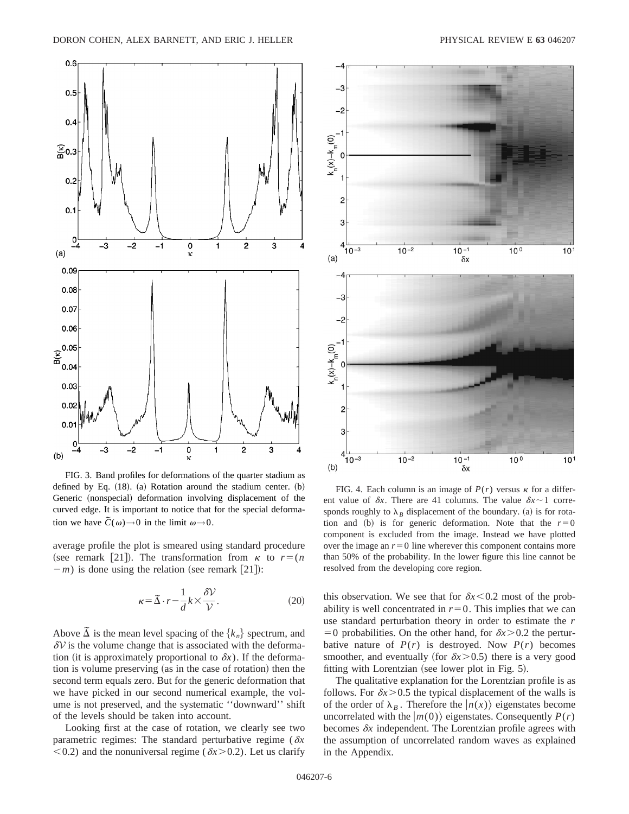

FIG. 3. Band profiles for deformations of the quarter stadium as defined by Eq.  $(18)$ .  $(a)$  Rotation around the stadium center.  $(b)$ Generic (nonspecial) deformation involving displacement of the curved edge. It is important to notice that for the special deformation we have  $\tilde{C}(\omega) \rightarrow 0$  in the limit  $\omega \rightarrow 0$ .

average profile the plot is smeared using standard procedure (see remark [21]). The transformation from  $\kappa$  to  $r=(n)$  $(m - m)$  is done using the relation (see remark [21]):

$$
\kappa = \tilde{\Delta} \cdot r - \frac{1}{d} k \times \frac{\delta \mathcal{V}}{\mathcal{V}}.
$$
 (20)

Above  $\overline{\Delta}$  is the mean level spacing of the  $\{k_n\}$  spectrum, and  $\delta V$  is the volume change that is associated with the deformation (it is approximately proportional to  $\delta x$ ). If the deformation is volume preserving (as in the case of rotation) then the second term equals zero. But for the generic deformation that we have picked in our second numerical example, the volume is not preserved, and the systematic ''downward'' shift of the levels should be taken into account.

Looking first at the case of rotation, we clearly see two parametric regimes: The standard perturbative regime ( $\delta x$  $<$ 0.2) and the nonuniversal regime ( $\delta x$  $>$ 0.2). Let us clarify



FIG. 4. Each column is an image of  $P(r)$  versus  $\kappa$  for a different value of  $\delta x$ . There are 41 columns. The value  $\delta x \sim 1$  corresponds roughly to  $\lambda_B$  displacement of the boundary. (a) is for rotation and (b) is for generic deformation. Note that the  $r=0$ component is excluded from the image. Instead we have plotted over the image an  $r=0$  line wherever this component contains more than 50% of the probability. In the lower figure this line cannot be resolved from the developing core region.

this observation. We see that for  $\delta x$ <0.2 most of the probability is well concentrated in  $r=0$ . This implies that we can use standard perturbation theory in order to estimate the *r*  $=0$  probabilities. On the other hand, for  $\delta x$  > 0.2 the perturbative nature of  $P(r)$  is destroyed. Now  $P(r)$  becomes smoother, and eventually (for  $\delta x$  > 0.5) there is a very good fitting with Lorentzian (see lower plot in Fig.  $5$ ).

The qualitative explanation for the Lorentzian profile is as follows. For  $\delta x$  > 0.5 the typical displacement of the walls is of the order of  $\lambda_B$ . Therefore the  $|n(x)\rangle$  eigenstates become uncorrelated with the  $|m(0)\rangle$  eigenstates. Consequently  $P(r)$ becomes  $\delta x$  independent. The Lorentzian profile agrees with the assumption of uncorrelated random waves as explained in the Appendix.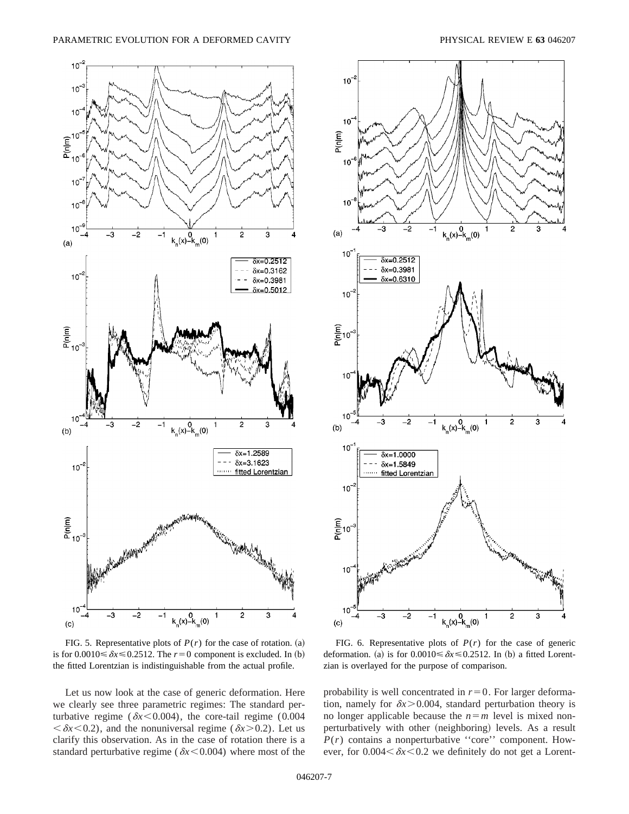

FIG. 5. Representative plots of  $P(r)$  for the case of rotation. (a) is for  $0.0010 \le \delta x \le 0.2512$ . The  $r=0$  component is excluded. In (b) the fitted Lorentzian is indistinguishable from the actual profile.

Let us now look at the case of generic deformation. Here we clearly see three parametric regimes: The standard perturbative regime ( $\delta x$ <0.004), the core-tail regime (0.004)  $\langle \delta x \langle 0.2 \rangle$ , and the nonuniversal regime ( $\delta x \rangle 0.2$ ). Let us clarify this observation. As in the case of rotation there is a standard perturbative regime ( $\delta x$ <0.004) where most of the



FIG. 6. Representative plots of  $P(r)$  for the case of generic deformation. (a) is for  $0.0010 \le \delta x \le 0.2512$ . In (b) a fitted Lorentzian is overlayed for the purpose of comparison.

probability is well concentrated in  $r=0$ . For larger deformation, namely for  $\delta x$  > 0.004, standard perturbation theory is no longer applicable because the  $n=m$  level is mixed nonperturbatively with other (neighboring) levels. As a result  $P(r)$  contains a nonperturbative "core" component. However, for  $0.004 < \delta x < 0.2$  we definitely do not get a Lorent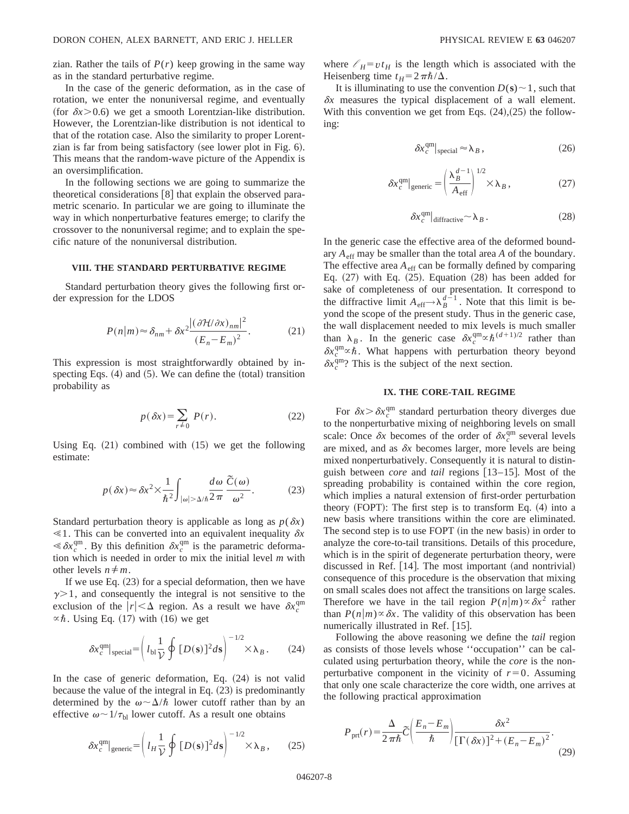zian. Rather the tails of  $P(r)$  keep growing in the same way as in the standard perturbative regime.

In the case of the generic deformation, as in the case of rotation, we enter the nonuniversal regime, and eventually (for  $\delta x$  > 0.6) we get a smooth Lorentzian-like distribution. However, the Lorentzian-like distribution is not identical to that of the rotation case. Also the similarity to proper Lorentzian is far from being satisfactory (see lower plot in Fig.  $6$ ). This means that the random-wave picture of the Appendix is an oversimplification.

In the following sections we are going to summarize the theoretical considerations  $\lceil 8 \rceil$  that explain the observed parametric scenario. In particular we are going to illuminate the way in which nonperturbative features emerge; to clarify the crossover to the nonuniversal regime; and to explain the specific nature of the nonuniversal distribution.

### **VIII. THE STANDARD PERTURBATIVE REGIME**

Standard perturbation theory gives the following first order expression for the LDOS

$$
P(n|m) \approx \delta_{nm} + \delta x^2 \frac{|(\partial \mathcal{H}/\partial x)_{nm}|^2}{(E_n - E_m)^2}.
$$
 (21)

This expression is most straightforwardly obtained by inspecting Eqs.  $(4)$  and  $(5)$ . We can define the  $(total)$  transition probability as

$$
p(\delta x) = \sum_{r \neq 0} P(r). \tag{22}
$$

Using Eq.  $(21)$  combined with  $(15)$  we get the following estimate:

$$
p(\delta x) \approx \delta x^2 \times \frac{1}{\hbar^2} \int_{|\omega| > \Delta/\hbar} \frac{d\omega}{2\pi} \frac{\tilde{C}(\omega)}{\omega^2}.
$$
 (23)

Standard perturbation theory is applicable as long as  $p(\delta x)$  $\leq 1$ . This can be converted into an equivalent inequality  $\delta x$  $\ll \delta x_c^{\text{qm}}$ . By this definition  $\delta x_c^{\text{qm}}$  is the parametric deformation which is needed in order to mix the initial level *m* with other levels  $n \neq m$ .

If we use Eq.  $(23)$  for a special deformation, then we have  $\gamma$  > 1, and consequently the integral is not sensitive to the exclusion of the  $|r| < \Delta$  region. As a result we have  $\delta x_c^{\text{qm}}$  $\propto \hbar$ . Using Eq. (17) with (16) we get

$$
\delta x_c^{\text{qm}}|_{\text{special}} = \left( l_{\text{bl}} \frac{1}{\mathcal{V}} \oint [D(\mathbf{s})]^2 d\mathbf{s} \right)^{-1/2} \times \lambda_B. \tag{24}
$$

In the case of generic deformation, Eq.  $(24)$  is not valid because the value of the integral in Eq.  $(23)$  is predominantly determined by the  $\omega \sim \Delta/\hbar$  lower cutoff rather than by an effective  $\omega \sim 1/\tau_{bl}$  lower cutoff. As a result one obtains

$$
\delta x_c^{\text{qm}}|_{\text{generic}} = \left( l_H \frac{1}{\mathcal{V}} \oint [D(\mathbf{s})]^2 d\mathbf{s} \right)^{-1/2} \times \lambda_B, \qquad (25)
$$

where  $\ell_H = vt_H$  is the length which is associated with the Heisenberg time  $t_H=2\pi\hbar/\Delta$ .

It is illuminating to use the convention  $D(s) \sim 1$ , such that  $\delta x$  measures the typical displacement of a wall element. With this convention we get from Eqs.  $(24)$ , $(25)$  the following:

$$
\delta x_c^{\rm qm}|_{\rm special} \approx \lambda_B \,, \tag{26}
$$

$$
\delta x_c^{\text{qm}}|_{\text{generic}} = \left(\frac{\lambda_B^{d-1}}{A_{\text{eff}}}\right)^{1/2} \times \lambda_B, \qquad (27)
$$

$$
\delta x_c^{\rm qm}|_{\rm diffractive} \sim \lambda_B \,. \tag{28}
$$

In the generic case the effective area of the deformed boundary  $A_{\text{eff}}$  may be smaller than the total area  $A$  of the boundary. The effective area  $A_{\text{eff}}$  can be formally defined by comparing Eq.  $(27)$  with Eq.  $(25)$ . Equation  $(28)$  has been added for sake of completeness of our presentation. It correspond to the diffractive limit  $A_{\text{eff}} \rightarrow \lambda_B^{d-1}$ . Note that this limit is beyond the scope of the present study. Thus in the generic case, the wall displacement needed to mix levels is much smaller than  $\lambda_B$ . In the generic case  $\delta x_c^{\text{qm}} \propto \hbar^{(d+1)/2}$  rather than  $\delta x_c^{\text{qm}} \propto \hbar$ . What happens with perturbation theory beyond  $\delta x_c^{\text{qm}}$ ? This is the subject of the next section.

### **IX. THE CORE-TAIL REGIME**

For  $\delta x > \delta x_c^{\text{qm}}$  standard perturbation theory diverges due to the nonperturbative mixing of neighboring levels on small scale: Once  $\delta x$  becomes of the order of  $\delta x_c^{\text{qm}}$  several levels are mixed, and as  $\delta x$  becomes larger, more levels are being mixed nonperturbatively. Consequently it is natural to distinguish between *core* and *tail* regions [13–15]. Most of the spreading probability is contained within the core region, which implies a natural extension of first-order perturbation theory  $(FOPT)$ : The first step is to transform Eq.  $(4)$  into a new basis where transitions within the core are eliminated. The second step is to use FOPT (in the new basis) in order to analyze the core-to-tail transitions. Details of this procedure, which is in the spirit of degenerate perturbation theory, were discussed in Ref.  $[14]$ . The most important (and nontrivial) consequence of this procedure is the observation that mixing on small scales does not affect the transitions on large scales. Therefore we have in the tail region  $P(n|m) \propto \delta x^2$  rather than  $P(n|m) \propto \delta x$ . The validity of this observation has been numerically illustrated in Ref. [15].

Following the above reasoning we define the *tail* region as consists of those levels whose ''occupation'' can be calculated using perturbation theory, while the *core* is the nonperturbative component in the vicinity of  $r=0$ . Assuming that only one scale characterize the core width, one arrives at the following practical approximation

$$
P_{\text{prt}}(r) = \frac{\Delta}{2\pi\hbar} \widetilde{C} \left( \frac{E_n - E_m}{\hbar} \right) \frac{\delta x^2}{\left[ \Gamma(\delta x) \right]^2 + \left( E_n - E_m \right)^2}.
$$
\n(29)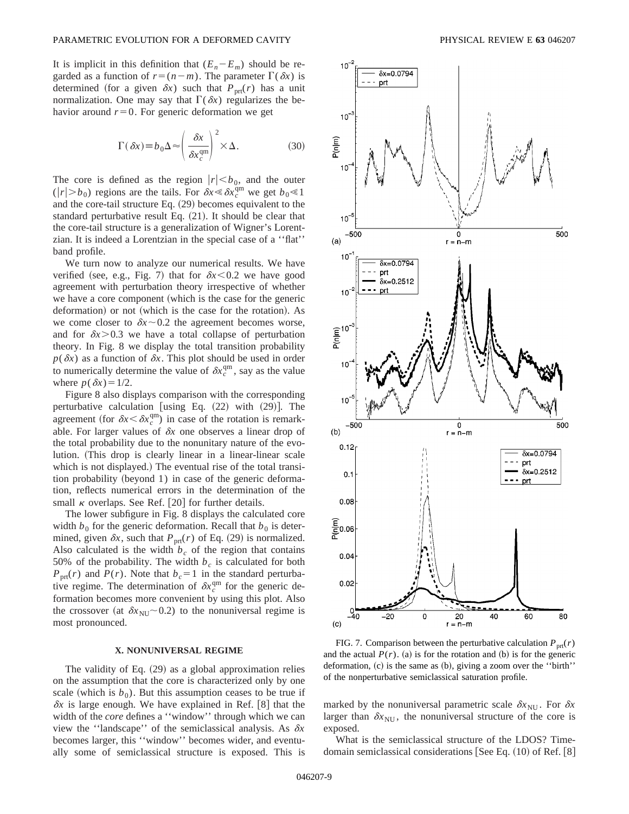It is implicit in this definition that  $(E_n - E_m)$  should be regarded as a function of  $r=(n-m)$ . The parameter  $\Gamma(\delta x)$  is determined (for a given  $\delta x$ ) such that  $P_{\text{prt}}(r)$  has a unit normalization. One may say that  $\Gamma(\delta x)$  regularizes the behavior around  $r=0$ . For generic deformation we get

$$
\Gamma(\delta x) \equiv b_0 \Delta \approx \left(\frac{\delta x}{\delta x_c^{\text{qm}}}\right)^2 \times \Delta.
$$
 (30)

The core is defined as the region  $|r| \le b_0$ , and the outer  $(|r| > b_0)$  regions are the tails. For  $\delta x \le \delta x_c^{\text{qm}}$  we get  $b_0 \le 1$ and the core-tail structure Eq.  $(29)$  becomes equivalent to the standard perturbative result Eq.  $(21)$ . It should be clear that the core-tail structure is a generalization of Wigner's Lorentzian. It is indeed a Lorentzian in the special case of a ''flat'' band profile.

We turn now to analyze our numerical results. We have verified (see, e.g., Fig. 7) that for  $\delta x < 0.2$  we have good agreement with perturbation theory irrespective of whether we have a core component (which is the case for the generic deformation) or not (which is the case for the rotation). As we come closer to  $\delta x \sim 0.2$  the agreement becomes worse, and for  $\delta x$  > 0.3 we have a total collapse of perturbation theory. In Fig. 8 we display the total transition probability  $p(\delta x)$  as a function of  $\delta x$ . This plot should be used in order to numerically determine the value of  $\delta x_c^{\text{qm}}$ , say as the value where  $p(\delta x) = 1/2$ .

Figure 8 also displays comparison with the corresponding perturbative calculation [using Eq.  $(22)$  with  $(29)$ ]. The agreement (for  $\delta x < \delta x_{c}^{\text{qm}}$ ) in case of the rotation is remarkable. For larger values of  $\delta x$  one observes a linear drop of the total probability due to the nonunitary nature of the evolution. (This drop is clearly linear in a linear-linear scale which is not displayed.) The eventual rise of the total transi $t$  tion probability (beyond 1) in case of the generic deformation, reflects numerical errors in the determination of the small  $\kappa$  overlaps. See Ref. [20] for further details.

The lower subfigure in Fig. 8 displays the calculated core width  $b_0$  for the generic deformation. Recall that  $b_0$  is determined, given  $\delta x$ , such that  $P_{\text{prf}}(r)$  of Eq. (29) is normalized. Also calculated is the width  $b_c$  of the region that contains 50% of the probability. The width  $b_c$  is calculated for both  $P_{\text{prt}}(r)$  and  $P(r)$ . Note that  $b_c = 1$  in the standard perturbative regime. The determination of  $\delta x_c^{\text{qm}}$  for the generic deformation becomes more convenient by using this plot. Also the crossover (at  $\delta x_{\text{NU}}$  ~ 0.2) to the nonuniversal regime is most pronounced.

### **X. NONUNIVERSAL REGIME**

The validity of Eq.  $(29)$  as a global approximation relies on the assumption that the core is characterized only by one scale (which is  $b_0$ ). But this assumption ceases to be true if  $\delta x$  is large enough. We have explained in Ref. [8] that the width of the *core* defines a ''window'' through which we can view the "landscape" of the semiclassical analysis. As  $\delta x$ becomes larger, this ''window'' becomes wider, and eventually some of semiclassical structure is exposed. This is



FIG. 7. Comparison between the perturbative calculation  $P_{\text{prf}}(r)$ and the actual  $P(r)$ . (a) is for the rotation and (b) is for the generic deformation,  $(c)$  is the same as  $(b)$ , giving a zoom over the "birth" of the nonperturbative semiclassical saturation profile.

marked by the nonuniversal parametric scale  $\delta x_{\text{NU}}$ . For  $\delta x$ larger than  $\delta x_{\text{NU}}$ , the nonuniversal structure of the core is exposed.

What is the semiclassical structure of the LDOS? Timedomain semiclassical considerations [See Eq.  $(10)$  of Ref.  $[8]$ ]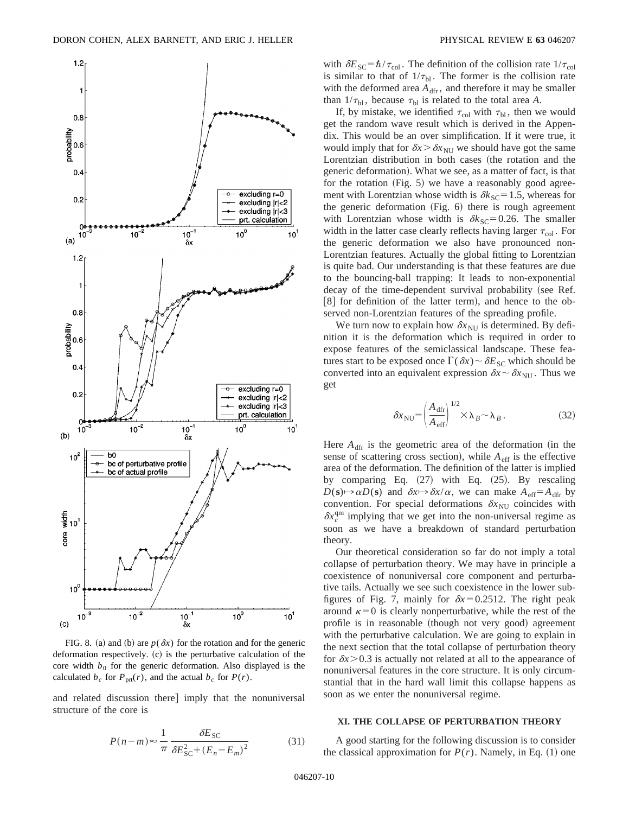

FIG. 8. (a) and (b) are  $p(\delta x)$  for the rotation and for the generic deformation respectively. (c) is the perturbative calculation of the core width  $b_0$  for the generic deformation. Also displayed is the calculated  $b_c$  for  $P_{\text{prt}}(r)$ , and the actual  $b_c$  for  $P(r)$ .

and related discussion there] imply that the nonuniversal structure of the core is

$$
P(n-m) \approx \frac{1}{\pi} \frac{\delta E_{\rm SC}}{\delta E_{\rm SC}^2 + (E_n - E_m)^2}
$$
(31)

with  $\delta E_{\text{SC}} = \hbar / \tau_{\text{col}}$ . The definition of the collision rate  $1/\tau_{\text{col}}$ is similar to that of  $1/\tau_{\text{bl}}$ . The former is the collision rate with the deformed area  $A_{\text{dfr}}$ , and therefore it may be smaller than  $1/\tau_{bl}$ , because  $\tau_{bl}$  is related to the total area *A*.

If, by mistake, we identified  $\tau_{\text{col}}$  with  $\tau_{\text{bl}}$ , then we would get the random wave result which is derived in the Appendix. This would be an over simplification. If it were true, it would imply that for  $\delta x > \delta x_{\text{NI}}$  we should have got the same Lorentzian distribution in both cases (the rotation and the generic deformation). What we see, as a matter of fact, is that for the rotation  $(Fig. 5)$  we have a reasonably good agreement with Lorentzian whose width is  $\delta k_{SC} = 1.5$ , whereas for the generic deformation  $(Fig. 6)$  there is rough agreement with Lorentzian whose width is  $\delta k_{\text{SC}} = 0.26$ . The smaller width in the latter case clearly reflects having larger  $\tau_{\text{col}}$ . For the generic deformation we also have pronounced non-Lorentzian features. Actually the global fitting to Lorentzian is quite bad. Our understanding is that these features are due to the bouncing-ball trapping: It leads to non-exponential decay of the time-dependent survival probability (see Ref.  $[8]$  for definition of the latter term), and hence to the observed non-Lorentzian features of the spreading profile.

We turn now to explain how  $\delta x_{\text{NU}}$  is determined. By definition it is the deformation which is required in order to expose features of the semiclassical landscape. These features start to be exposed once  $\Gamma(\delta x) \sim \delta E_{SC}$  which should be converted into an equivalent expression  $\delta x \sim \delta x_{\text{NU}}$ . Thus we get

$$
\delta x_{\rm NU} = \left(\frac{A_{\rm dfr}}{A_{\rm eff}}\right)^{1/2} \times \lambda_B \sim \lambda_B. \tag{32}
$$

Here  $A_{\text{dfr}}$  is the geometric area of the deformation (in the sense of scattering cross section), while  $A_{\text{eff}}$  is the effective area of the deformation. The definition of the latter is implied by comparing Eq.  $(27)$  with Eq.  $(25)$ . By rescaling  $D(\mathbf{s}) \rightarrow \alpha D(\mathbf{s})$  and  $\delta x \rightarrow \delta x / \alpha$ , we can make  $A_{\text{eff}} = A_{\text{dfr}}$  by convention. For special deformations  $\delta x_{\text{NU}}$  coincides with  $\delta x_c^{\text{qm}}$  implying that we get into the non-universal regime as soon as we have a breakdown of standard perturbation theory.

Our theoretical consideration so far do not imply a total collapse of perturbation theory. We may have in principle a coexistence of nonuniversal core component and perturbative tails. Actually we see such coexistence in the lower subfigures of Fig. 7, mainly for  $\delta x = 0.2512$ . The right peak around  $\kappa=0$  is clearly nonperturbative, while the rest of the profile is in reasonable (though not very good) agreement with the perturbative calculation. We are going to explain in the next section that the total collapse of perturbation theory for  $\delta x$  > 0.3 is actually not related at all to the appearance of nonuniversal features in the core structure. It is only circumstantial that in the hard wall limit this collapse happens as soon as we enter the nonuniversal regime.

### **XI. THE COLLAPSE OF PERTURBATION THEORY**

A good starting for the following discussion is to consider the classical approximation for  $P(r)$ . Namely, in Eq.  $(1)$  one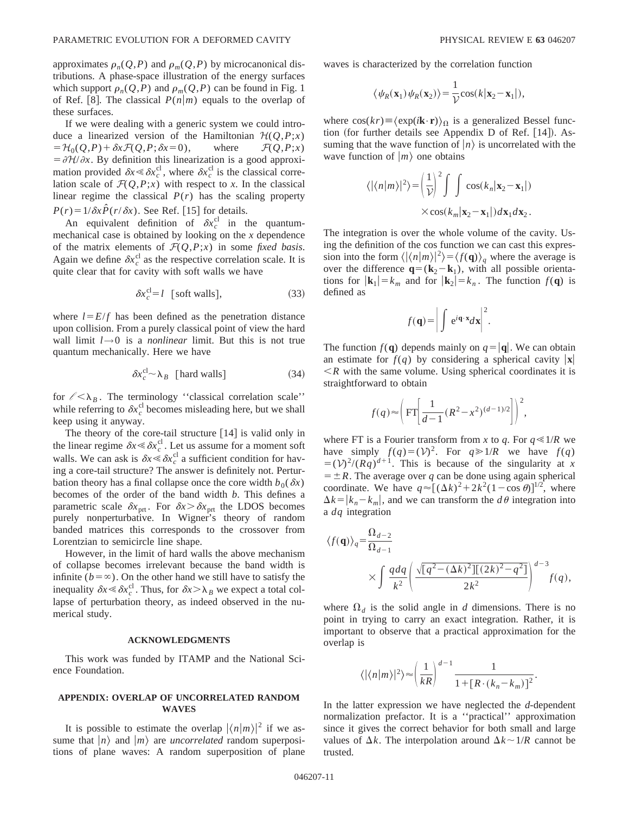approximates  $\rho_n(Q, P)$  and  $\rho_m(Q, P)$  by microcanonical distributions. A phase-space illustration of the energy surfaces which support  $\rho_n(Q, P)$  and  $\rho_m(Q, P)$  can be found in Fig. 1 of Ref. [8]. The classical  $P(n|m)$  equals to the overlap of these surfaces.

If we were dealing with a generic system we could introduce a linearized version of the Hamiltonian  $\mathcal{H}(Q, P; x)$ <br>=  $\mathcal{H}_0(Q, P) + \delta x \mathcal{F}(Q, P; \delta x = 0)$ , where  $\mathcal{F}(Q, P; x)$  $=$   $H_0(Q, P) + \delta x \mathcal{F}(Q, P; \delta x=0),$  $= \frac{\partial \mathcal{H}}{\partial x}$ . By definition this linearization is a good approximation provided  $\delta x \le \delta x_c^{\text{cl}}$ , where  $\delta x_c^{\text{cl}}$  is the classical correlation scale of  $\mathcal{F}(Q, P; x)$  with respect to *x*. In the classical linear regime the classical  $P(r)$  has the scaling property  $P(r) = 1/\delta x \hat{P}(r/\delta x)$ . See Ref. [15] for details.

An equivalent definition of  $\delta x_c^{\text{cl}}$  in the quantummechanical case is obtained by looking on the *x* dependence of the matrix elements of  $\mathcal{F}(Q, P; x)$  in some *fixed basis*. Again we define  $\delta x_c^{\text{cl}}$  as the respective correlation scale. It is quite clear that for cavity with soft walls we have

$$
\delta x_c^{\text{cl}} = l \quad \text{[soft walls]},\tag{33}
$$

where  $l = E/f$  has been defined as the penetration distance upon collision. From a purely classical point of view the hard wall limit  $l\rightarrow 0$  is a *nonlinear* limit. But this is not true quantum mechanically. Here we have

$$
\delta x_c^{cl} \sim \lambda_B \quad \text{[hard walls]} \tag{34}
$$

for  $\ell < \lambda_B$ . The terminology "classical correlation scale" while referring to  $\delta x_c^{\text{cl}}$  becomes misleading here, but we shall keep using it anyway.

The theory of the core-tail structure  $[14]$  is valid only in the linear regime  $\delta x \le \delta x_c^{\text{cl}}$ . Let us assume for a moment soft walls. We can ask is  $\delta x \leq \delta x_c^{\text{cl}}$  a sufficient condition for having a core-tail structure? The answer is definitely not. Perturbation theory has a final collapse once the core width  $b_0(\delta x)$ becomes of the order of the band width *b*. This defines a parametric scale  $\delta x_{\text{prt}}$ . For  $\delta x > \delta x_{\text{prt}}$  the LDOS becomes purely nonperturbative. In Wigner's theory of random banded matrices this corresponds to the crossover from Lorentzian to semicircle line shape.

However, in the limit of hard walls the above mechanism of collapse becomes irrelevant because the band width is infinite  $(b = \infty)$ . On the other hand we still have to satisfy the inequality  $\delta x \le \delta x_c^{\text{cl}}$ . Thus, for  $\delta x > \lambda_B$  we expect a total collapse of perturbation theory, as indeed observed in the numerical study.

#### **ACKNOWLEDGMENTS**

This work was funded by ITAMP and the National Science Foundation.

# **APPENDIX: OVERLAP OF UNCORRELATED RANDOM WAVES**

It is possible to estimate the overlap  $|\langle n|m \rangle|^2$  if we assume that  $|n\rangle$  and  $|m\rangle$  are *uncorrelated* random superpositions of plane waves: A random superposition of plane waves is characterized by the correlation function

$$
\langle \psi_R(\mathbf{x}_1) \psi_R(\mathbf{x}_2) \rangle = \frac{1}{\mathcal{V}} \cos(k|\mathbf{x}_2 - \mathbf{x}_1|),
$$

where  $\cos(kr) \equiv \langle \exp(i\mathbf{k}\cdot\mathbf{r}) \rangle_{\Omega}$  is a generalized Bessel function (for further details see Appendix D of Ref.  $[14]$ ). Assuming that the wave function of  $|n\rangle$  is uncorrelated with the wave function of  $|m\rangle$  one obtains

$$
\langle |\langle n|m \rangle|^2 \rangle = \left(\frac{1}{\mathcal{V}}\right)^2 \int \int \cos(k_n|\mathbf{x}_2 - \mathbf{x}_1|)
$$

$$
\times \cos(k_m|\mathbf{x}_2 - \mathbf{x}_1|) d\mathbf{x}_1 d\mathbf{x}_2.
$$

The integration is over the whole volume of the cavity. Using the definition of the cos function we can cast this expression into the form  $\langle |\langle n|m \rangle|^2 \rangle = \langle f(\mathbf{q}) \rangle_q$  where the average is over the difference  $\mathbf{q} = (\mathbf{k}_2 - \mathbf{k}_1)$ , with all possible orientations for  $|\mathbf{k}_1| = k_m$  and for  $|\mathbf{k}_2| = k_n$ . The function  $f(\mathbf{q})$  is defined as

$$
f(\mathbf{q}) = \bigg| \int e^{i\mathbf{q} \cdot \mathbf{x}} d\mathbf{x} \bigg|^2.
$$

The function  $f(\mathbf{q})$  depends mainly on  $q = |\mathbf{q}|$ . We can obtain an estimate for  $f(q)$  by considering a spherical cavity  $|\mathbf{x}|$  $\leq R$  with the same volume. Using spherical coordinates it is straightforward to obtain

$$
f(q) \approx \left( \text{FT} \left[ \frac{1}{d-1} (R^2 - x^2)^{(d-1)/2} \right] \right)^2
$$

where FT is a Fourier transform from *x* to *q*. For  $q \le 1/R$  we have simply  $f(q) = (\mathcal{V})^2$ . For  $q \ge 1/R$  we have  $f(q)$  $=$   $(\frac{\nu}{2})(Rq)^{d+1}$ . This is because of the singularity at *x*  $= \pm R$ . The average over *q* can be done using again spherical coordinate. We have  $q \approx [(\Delta k)^2 + 2k^2(1-\cos \theta)]^{1/2}$ , where  $\Delta k = |k_n - k_m|$ , and we can transform the  $d\theta$  integration into a *dq* integration

$$
\langle f(\mathbf{q}) \rangle_q = \frac{\Omega_{d-2}}{\Omega_{d-1}} \times \int \frac{q \, dq}{k^2} \left( \frac{\sqrt{[q^2 - (\Delta k)^2][(2k)^2 - q^2]}}{2k^2} \right)^{d-3} f(q),
$$

where  $\Omega_d$  is the solid angle in *d* dimensions. There is no point in trying to carry an exact integration. Rather, it is important to observe that a practical approximation for the overlap is

$$
\langle |\langle n|m\rangle|^2\rangle\!\approx\!\left(\frac{1}{kR}\right)^{d-1}\!\frac{1}{1\!+\![R\cdot(k_n\!-\!k_m)]^2}.
$$

In the latter expression we have neglected the *d*-dependent normalization prefactor. It is a ''practical'' approximation since it gives the correct behavior for both small and large values of  $\Delta k$ . The interpolation around  $\Delta k \sim 1/R$  cannot be trusted.